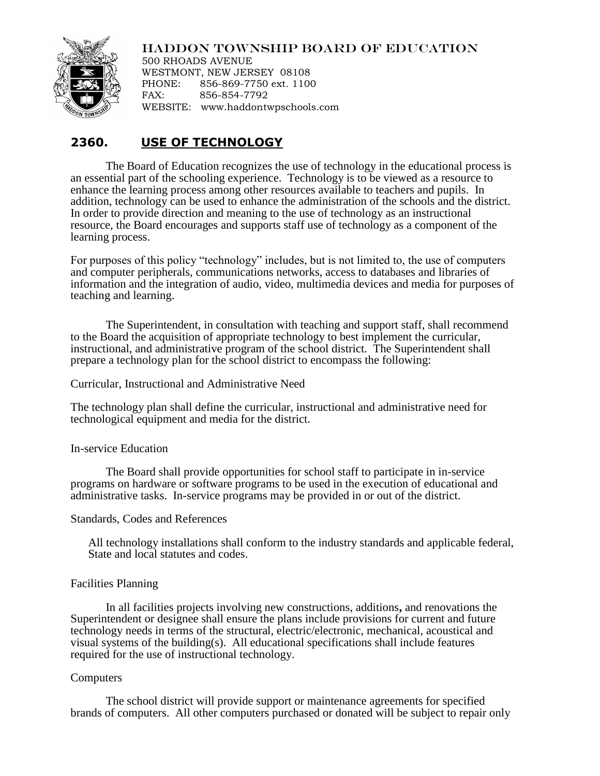# HADDON TOWNSHIP BOARD OF EDUCATION



500 RHOADS AVENUE WESTMONT, NEW JERSEY 08108 PHONE: 856-869-7750 ext. 1100 FAX: 856-854-7792 WEBSITE: www.haddontwpschools.com

# **2360. USE OF TECHNOLOGY**

The Board of Education recognizes the use of technology in the educational process is an essential part of the schooling experience. Technology is to be viewed as a resource to enhance the learning process among other resources available to teachers and pupils. In addition, technology can be used to enhance the administration of the schools and the district. In order to provide direction and meaning to the use of technology as an instructional resource, the Board encourages and supports staff use of technology as a component of the learning process.

For purposes of this policy "technology" includes, but is not limited to, the use of computers and computer peripherals, communications networks, access to databases and libraries of information and the integration of audio, video, multimedia devices and media for purposes of teaching and learning.

The Superintendent, in consultation with teaching and support staff, shall recommend to the Board the acquisition of appropriate technology to best implement the curricular, instructional, and administrative program of the school district. The Superintendent shall prepare a technology plan for the school district to encompass the following:

Curricular, Instructional and Administrative Need

The technology plan shall define the curricular, instructional and administrative need for technological equipment and media for the district.

# In-service Education

The Board shall provide opportunities for school staff to participate in in-service programs on hardware or software programs to be used in the execution of educational and administrative tasks. In-service programs may be provided in or out of the district.

# Standards, Codes and References

All technology installations shall conform to the industry standards and applicable federal, State and local statutes and codes.

# Facilities Planning

In all facilities projects involving new constructions, additions**,** and renovations the Superintendent or designee shall ensure the plans include provisions for current and future technology needs in terms of the structural, electric/electronic, mechanical, acoustical and visual systems of the building(s). All educational specifications shall include features required for the use of instructional technology.

# Computers

The school district will provide support or maintenance agreements for specified brands of computers. All other computers purchased or donated will be subject to repair only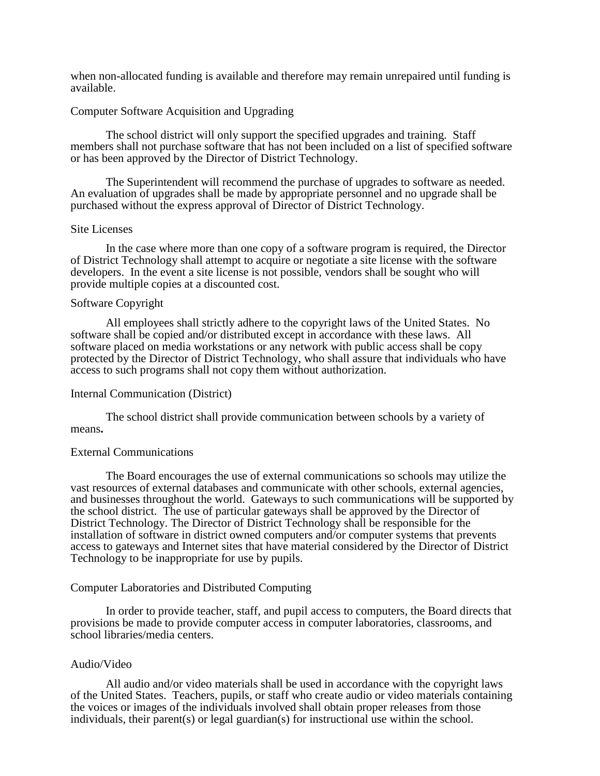when non-allocated funding is available and therefore may remain unrepaired until funding is available.

#### Computer Software Acquisition and Upgrading

The school district will only support the specified upgrades and training. Staff members shall not purchase software that has not been included on a list of specified software or has been approved by the Director of District Technology.

The Superintendent will recommend the purchase of upgrades to software as needed. An evaluation of upgrades shall be made by appropriate personnel and no upgrade shall be purchased without the express approval of Director of District Technology.

#### Site Licenses

In the case where more than one copy of a software program is required, the Director of District Technology shall attempt to acquire or negotiate a site license with the software developers. In the event a site license is not possible, vendors shall be sought who will provide multiple copies at a discounted cost.

#### Software Copyright

All employees shall strictly adhere to the copyright laws of the United States. No software shall be copied and/or distributed except in accordance with these laws. All software placed on media workstations or any network with public access shall be copy protected by the Director of District Technology, who shall assure that individuals who have access to such programs shall not copy them without authorization.

#### Internal Communication (District)

The school district shall provide communication between schools by a variety of means**.**

# External Communications

The Board encourages the use of external communications so schools may utilize the vast resources of external databases and communicate with other schools, external agencies, and businesses throughout the world. Gateways to such communications will be supported by the school district. The use of particular gateways shall be approved by the Director of District Technology. The Director of District Technology shall be responsible for the installation of software in district owned computers and/or computer systems that prevents access to gateways and Internet sites that have material considered by the Director of District Technology to be inappropriate for use by pupils.

#### Computer Laboratories and Distributed Computing

In order to provide teacher, staff, and pupil access to computers, the Board directs that provisions be made to provide computer access in computer laboratories, classrooms, and school libraries/media centers.

#### Audio/Video

All audio and/or video materials shall be used in accordance with the copyright laws of the United States. Teachers, pupils, or staff who create audio or video materials containing the voices or images of the individuals involved shall obtain proper releases from those individuals, their parent(s) or legal guardian(s) for instructional use within the school.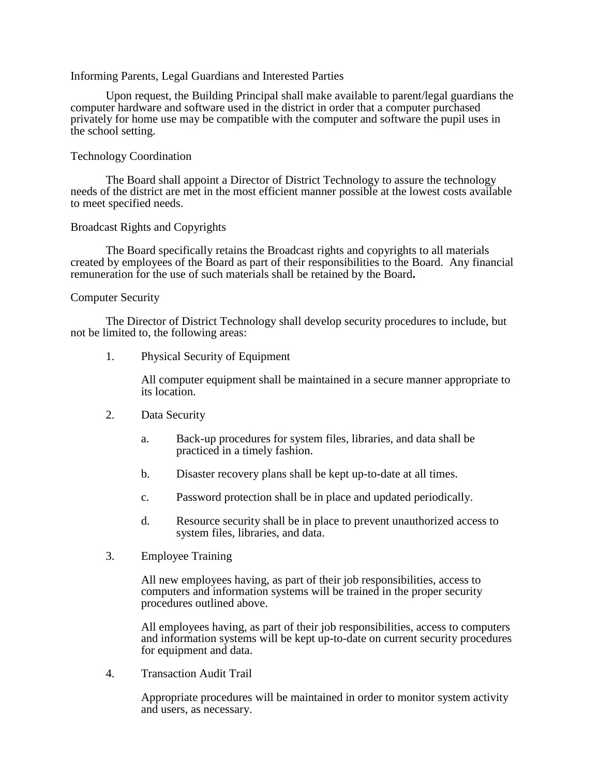#### Informing Parents, Legal Guardians and Interested Parties

Upon request, the Building Principal shall make available to parent/legal guardians the computer hardware and software used in the district in order that a computer purchased privately for home use may be compatible with the computer and software the pupil uses in the school setting.

# Technology Coordination

The Board shall appoint a Director of District Technology to assure the technology needs of the district are met in the most efficient manner possible at the lowest costs available to meet specified needs.

#### Broadcast Rights and Copyrights

The Board specifically retains the Broadcast rights and copyrights to all materials created by employees of the Board as part of their responsibilities to the Board. Any financial remuneration for the use of such materials shall be retained by the Board**.**

#### Computer Security

The Director of District Technology shall develop security procedures to include, but not be limited to, the following areas:

1. Physical Security of Equipment

All computer equipment shall be maintained in a secure manner appropriate to its location.

- 2. Data Security
	- a. Back-up procedures for system files, libraries, and data shall be practiced in a timely fashion.
	- b. Disaster recovery plans shall be kept up-to-date at all times.
	- c. Password protection shall be in place and updated periodically.
	- d. Resource security shall be in place to prevent unauthorized access to system files, libraries, and data.
- 3. Employee Training

All new employees having, as part of their job responsibilities, access to computers and information systems will be trained in the proper security procedures outlined above.

All employees having, as part of their job responsibilities, access to computers and information systems will be kept up-to-date on current security procedures for equipment and data.

4. Transaction Audit Trail

Appropriate procedures will be maintained in order to monitor system activity and users, as necessary.